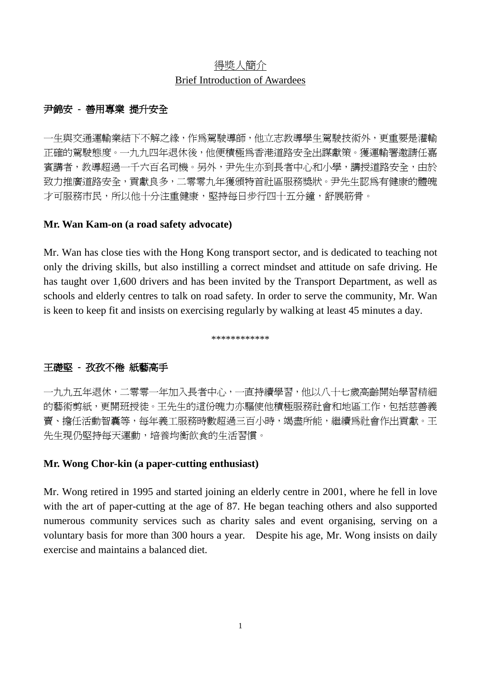# 得奬人簡介 Brief Introduction of Awardees

# 尹錦安 **-** 善用專業 提升安全

一生與交通運輸業結下不解之緣,作為駕駛導師,他立志教導學生駕駛技術外,更重要是灌輸 正確的駕駛態度。一九九四年退休後,他便積極為香港道路安全出謀獻策。獲運輸署邀請任嘉 賓講者,教導超過一千六百名司機。另外,尹先生亦到長者中心和小學,講授道路安全,由於 致力推廣道路安全,貢獻良多,二零零九年獲頒特首社區服務獎狀。尹先生認為有健康的體魄 才可服務市民,所以他十分注重健康,堅持每日步行四十五分鐘,舒展筋骨。

## **Mr. Wan Kam-on (a road safety advocate)**

Mr. Wan has close ties with the Hong Kong transport sector, and is dedicated to teaching not only the driving skills, but also instilling a correct mindset and attitude on safe driving. He has taught over 1,600 drivers and has been invited by the Transport Department, as well as schools and elderly centres to talk on road safety. In order to serve the community, Mr. Wan is keen to keep fit and insists on exercising regularly by walking at least 45 minutes a day.

\*\*\*\*\*\*\*\*\*\*\*\*

# 王礎堅 **-** 孜孜不倦 紙藝高手

一九九五年退休,二零零一年加入長者中心,一直持續學習,他以八十七歲高齡開始學習精細 的藝術剪紙,更開班授徒。王先生的這份魄力亦騙使他積極服務社會和地區工作,包括慈善義 賣、擔任活動智囊等,每年義工服務時數超過三百小時,竭盡所能,繼續為社會作出貢獻。王 先生現仍堅持每天運動,培養均衡飲食的生活習慣。

## **Mr. Wong Chor-kin (a paper-cutting enthusiast)**

Mr. Wong retired in 1995 and started joining an elderly centre in 2001, where he fell in love with the art of paper-cutting at the age of 87. He began teaching others and also supported numerous community services such as charity sales and event organising, serving on a voluntary basis for more than 300 hours a year. Despite his age, Mr. Wong insists on daily exercise and maintains a balanced diet.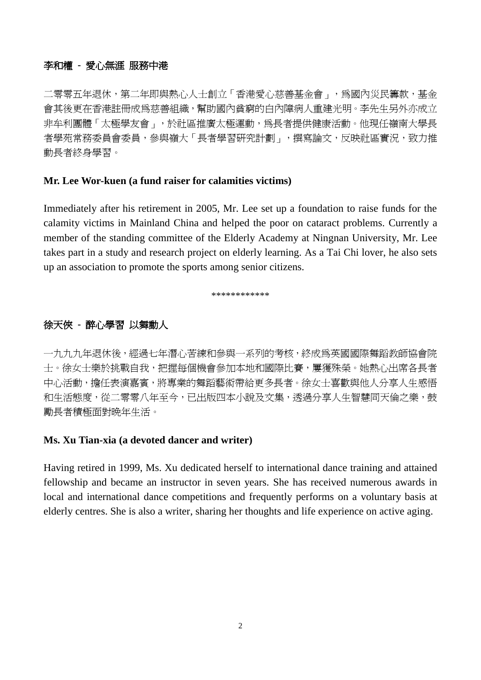### 李和權 **-** 愛心無涯 服務中港

二零零五年退休,第二年即與熱心人士創立「香港愛心慈善基金會」,為國內災民籌款,基金 會其後更在香港註冊成為慈善組織,幫助國內貧窮的白內障病人重建光明。李先生另外亦成立 非牟利團體「太極學友會」,於社區推廣太極運動,為長者提供健康活動。他現任嶺南大學長 者學苑常務委員會委員,參與嶺大「長者學習研究計劃」,撰寫論文,反映社區實況,致力推 動長者終身學習。

### **Mr. Lee Wor-kuen (a fund raiser for calamities victims)**

Immediately after his retirement in 2005, Mr. Lee set up a foundation to raise funds for the calamity victims in Mainland China and helped the poor on cataract problems. Currently a member of the standing committee of the Elderly Academy at Ningnan University, Mr. Lee takes part in a study and research project on elderly learning. As a Tai Chi lover, he also sets up an association to promote the sports among senior citizens.

\*\*\*\*\*\*\*\*\*\*\*\*

### 徐天俠 **-** 醉心學習 以舞動人

一九九九年退休後,經過七年潛心苦練和參與一系列的考核,終成為英國國際舞蹈教師協會院 士。徐女士樂於挑戰自我,把握每個機會參加本地和國際比賽,屢獲殊榮。她熱心出席各長者 中心活動,擔任表演嘉賓,將專業的舞蹈藝術帶給更多長者。徐女士喜歡與他人分享人生感悟 和生活態度,從二零零八年至今,已出版四本小說及文集,透過分享人生智慧同天倫之樂,鼓 勵長者積極面對晚年生活。

#### **Ms. Xu Tian-xia (a devoted dancer and writer)**

Having retired in 1999, Ms. Xu dedicated herself to international dance training and attained fellowship and became an instructor in seven years. She has received numerous awards in local and international dance competitions and frequently performs on a voluntary basis at elderly centres. She is also a writer, sharing her thoughts and life experience on active aging.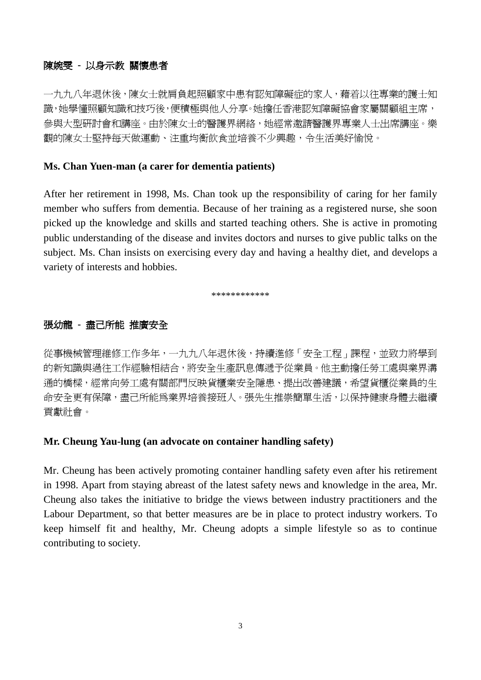### 陳婉雯 **-** 以身示教 關懷患者

一九九八年退休後,陳女士就肩負起照顧家中患有認知障礙症的家人,藉着以往專業的護士知 識,她學懂照顧知識和技巧後,便積極與他人分享。她擔任香港認知障礙協會家屬關顧組主席, 參與大型研討會和講座。由於陳女士的醫護界網絡,她經常邀請醫護界專業人士出席講座。樂 觀的陳女士堅持每天做運動、注重均衡飲食並培養不少興趣,令生活美好愉悅。

### **Ms. Chan Yuen-man (a carer for dementia patients)**

After her retirement in 1998, Ms. Chan took up the responsibility of caring for her family member who suffers from dementia. Because of her training as a registered nurse, she soon picked up the knowledge and skills and started teaching others. She is active in promoting public understanding of the disease and invites doctors and nurses to give public talks on the subject. Ms. Chan insists on exercising every day and having a healthy diet, and develops a variety of interests and hobbies.

\*\*\*\*\*\*\*\*\*\*\*\*

### 張幼龍 **-** 盡己所能 推廣安全

從事機械管理維修工作多年,一九九八年退休後,持續進修「安全工程」課程,並致力將學到 的新知識與過往工作經驗相結合,將安全生產訊息傳遞予從業員。他主動擔任勞工處與業界溝 通的橋樑,經常向勞工處有關部門反映貨櫃業安全隱患、提出改善建議,希望貨櫃從業員的生 命安全更有保障,盡己所能爲業界培養接班人。張先生推崇簡單生活,以保持健康身體去繼續 貢獻社會。

### **Mr. Cheung Yau-lung (an advocate on container handling safety)**

Mr. Cheung has been actively promoting container handling safety even after his retirement in 1998. Apart from staying abreast of the latest safety news and knowledge in the area, Mr. Cheung also takes the initiative to bridge the views between industry practitioners and the Labour Department, so that better measures are be in place to protect industry workers. To keep himself fit and healthy, Mr. Cheung adopts a simple lifestyle so as to continue contributing to society.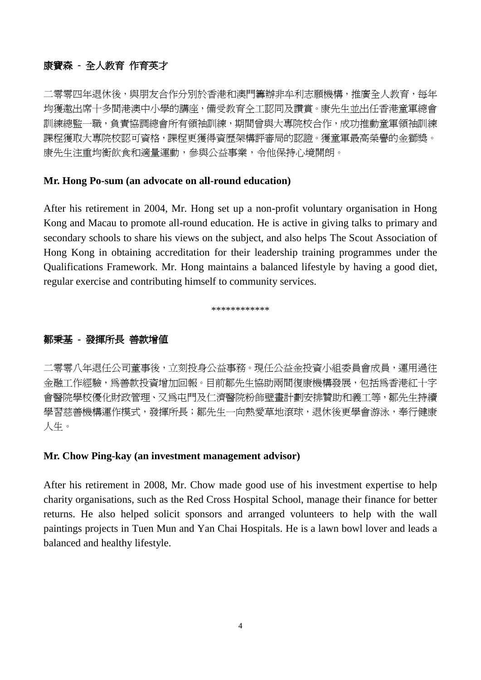## 康寶森 **-** 全人教育 作育英才

二零零四年退休後,與朋友合作分別於香港和澳門籌辦非牟利志願機構,推廣全人教育,每年 均獲邀出席十多間港澳中小學的講座,備受教育仝工認同及讚賞。康先生並出任香港童軍總會 訓練總監一職,負責協調總會所有領袖訓練,期間曾與大專院校合作,成功推動童軍領袖訓練 課程獲取大專院校認可資格,課程更獲得資歷架構評審局的認證。獲童軍最高榮譽的金獅獎。 康先生注重均衡飲食和適量運動,參與公益事業,令他保持心境開朗。

### **Mr. Hong Po-sum (an advocate on all-round education)**

After his retirement in 2004, Mr. Hong set up a non-profit voluntary organisation in Hong Kong and Macau to promote all-round education. He is active in giving talks to primary and secondary schools to share his views on the subject, and also helps The Scout Association of Hong Kong in obtaining accreditation for their leadership training programmes under the Qualifications Framework. Mr. Hong maintains a balanced lifestyle by having a good diet, regular exercise and contributing himself to community services.

\*\*\*\*\*\*\*\*\*\*\*\*

### 鄒秉基 **-** 發揮所長 善款增值

二零零八年退任公司董事後,立刻投身公益事務。現任公益金投資小組委員會成員,運用過往 金融工作經驗,為善款投資增加回報。目前鄒先生協助兩間復康機構發展,包括為香港紅十字 會醫院學校優化財政管理、又為屯門及仁濟醫院粉飾壁畫計劃安排贊助和義工等,鄒先生持續 學習慈善機構渾作模式,發揮所長;鄒先生一向熱愛草地滾球,退休後更學會游泳,奉行健康 人生。

### **Mr. Chow Ping-kay (an investment management advisor)**

After his retirement in 2008, Mr. Chow made good use of his investment expertise to help charity organisations, such as the Red Cross Hospital School, manage their finance for better returns. He also helped solicit sponsors and arranged volunteers to help with the wall paintings projects in Tuen Mun and Yan Chai Hospitals. He is a lawn bowl lover and leads a balanced and healthy lifestyle.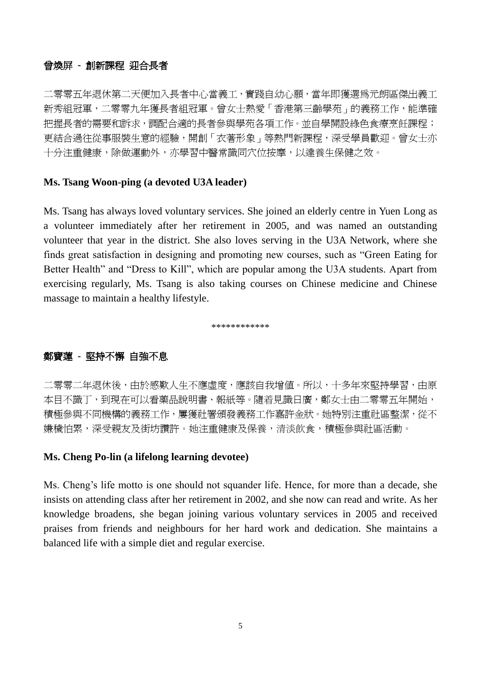## 曾煥屏 **-** 創新課程 迎合長者

二零零五年退休第二天便加入長者中心當義工,實踐自幼心願,當年即獲選為元朗區傑出義工 新秀組冠軍,二零零九年獲長者組冠軍。曾女士熱愛「香港第三齡學苑」的義務工作,能準確 把握長者的需要和訴求,調配合適的長者參與學苑各項工作。並自學開設綠色食療烹飪課程; 更結合過往從事服裝生意的經驗,開創「衣著形象」等熱門新課程,深受學員歡迎。曾女士亦 十分注重健康,除做運動外,亦學習中醫常識同穴位按摩,以達養生保健之效。

### **Ms. Tsang Woon-ping (a devoted U3A leader)**

Ms. Tsang has always loved voluntary services. She joined an elderly centre in Yuen Long as a volunteer immediately after her retirement in 2005, and was named an outstanding volunteer that year in the district. She also loves serving in the U3A Network, where she finds great satisfaction in designing and promoting new courses, such as "Green Eating for Better Health" and "Dress to Kill", which are popular among the U3A students. Apart from exercising regularly, Ms. Tsang is also taking courses on Chinese medicine and Chinese massage to maintain a healthy lifestyle.

\*\*\*\*\*\*\*\*\*\*\*\*

### 鄭寶蓮 **-** 堅持不懈 自強不息

二零零二年退休後,由於感歎人生不應虛度,應該自我增值。所以,十多年來堅持學習,由原 本目不識丁,到現在可以看藥品說明書、報紙等。隨着見識日廣,鄭女士由二零零五年開始, 積極參與不同機構的義務工作,屢獲社署頒發義務工作嘉許金狀。她特別注重社區整潔,從不 嫌穢怕累,深受親友及街坊讚許。她注重健康及保養,清淡飲食,積極參與計區活動。

### **Ms. Cheng Po-lin (a lifelong learning devotee)**

Ms. Cheng's life motto is one should not squander life. Hence, for more than a decade, she insists on attending class after her retirement in 2002, and she now can read and write. As her knowledge broadens, she began joining various voluntary services in 2005 and received praises from friends and neighbours for her hard work and dedication. She maintains a balanced life with a simple diet and regular exercise.